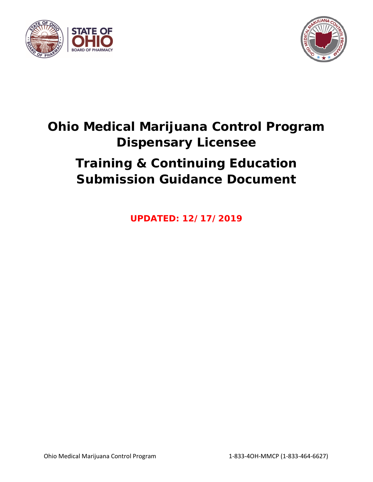



# **Ohio Medical Marijuana Control Program Dispensary Licensee Training & Continuing Education Submission Guidance Document**

**UPDATED: 12/17/2019**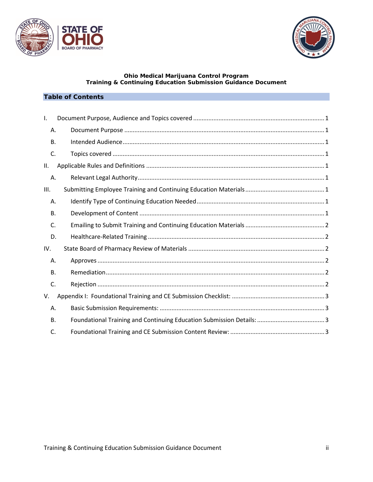



#### **Ohio Medical Marijuana Control Program Training & Continuing Education Submission Guidance Document**

# **Table of Contents**

| Ι.        |  |
|-----------|--|
| Α.        |  |
| В.        |  |
| C.        |  |
| Ш.        |  |
| Α.        |  |
| III.      |  |
| Α.        |  |
| В.        |  |
| C.        |  |
| D.        |  |
| IV.       |  |
| Α.        |  |
| <b>B.</b> |  |
| C.        |  |
| V.        |  |
| Α.        |  |
| <b>B.</b> |  |
| C.        |  |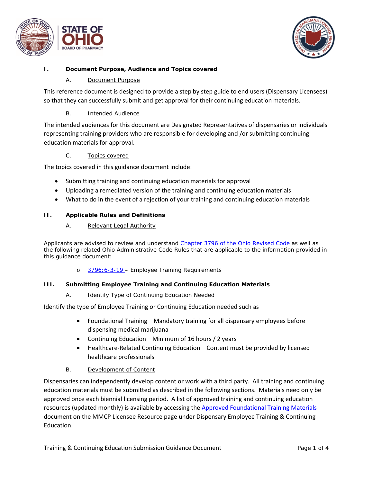



# <span id="page-2-1"></span><span id="page-2-0"></span>**I. Document Purpose, Audience and Topics covered**

## A. Document Purpose

This reference document is designed to provide a step by step guide to end users (Dispensary Licensees) so that they can successfully submit and get approval for their continuing education materials.

# B. Intended Audience

<span id="page-2-2"></span>The intended audiences for this document are Designated Representatives of dispensaries or individuals representing training providers who are responsible for developing and /or submitting continuing education materials for approval.

# C. Topics covered

<span id="page-2-3"></span>The topics covered in this guidance document include:

- Submitting training and continuing education materials for approval
- Uploading a remediated version of the training and continuing education materials
- What to do in the event of a rejection of your training and continuing education materials

#### <span id="page-2-5"></span><span id="page-2-4"></span>**II. Applicable Rules and Definitions**

#### A. Relevant Legal Authority

Applicants are advised to review and understand [Chapter 3796 of the Ohio Revised Code](http://codes.ohio.gov/orc/3796) as well as the following related Ohio Administrative Code Rules that are applicable to the information provided in this guidance document:

o [3796:6-3-19](http://codes.ohio.gov/oac/3796:6-3-19) - Employee Training Requirements

#### <span id="page-2-7"></span><span id="page-2-6"></span>**III. Submitting Employee Training and Continuing Education Materials**

#### A. Identify Type of Continuing Education Needed

Identify the type of Employee Training or Continuing Education needed such as

- Foundational Training Mandatory training for all dispensary employees before dispensing medical marijuana
- Continuing Education Minimum of 16 hours / 2 years
- Healthcare-Related Continuing Education Content must be provided by licensed healthcare professionals

#### B. Development of Content

<span id="page-2-8"></span>Dispensaries can independently develop content or work with a third party. All training and continuing education materials must be submitted as described in the following sections. Materials need only be approved once each biennial licensing period. A list of approved training and continuing education resources (updated monthly) is available by accessing the [Approved Foundational Training Materials](https://www.medicalmarijuana.ohio.gov/Documents/LicenseeResources/Dispensary%20Licensee%20Resources/DISPENSARY%20EMPLOYEE%20TRAINING%20&%20CONTINUING%20EDUCATION/Approved%20Foundational%20Training%20Materials.pdf) document on the MMCP Licensee Resource page under Dispensary Employee Training & Continuing Education.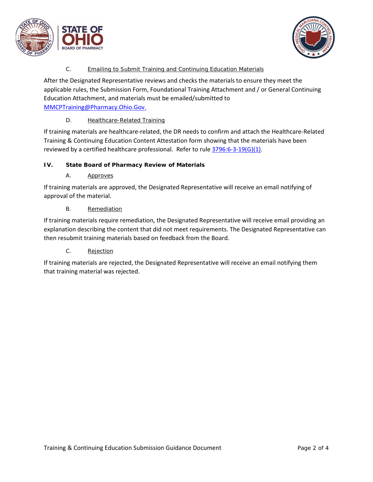



# C. Emailing to Submit Training and Continuing Education Materials

<span id="page-3-0"></span>After the Designated Representative reviews and checks the materials to ensure they meet the applicable rules, the Submission Form, Foundational Training Attachment and / or General Continuing Education Attachment, and materials must be emailed/submitted to [MMCPTraining@Pharmacy.Ohio.Gov.](mailto:MMCPTraining@Pharmacy.Ohio.Gov)

## D. Healthcare-Related Training

<span id="page-3-1"></span>If training materials are healthcare-related, the DR needs to confirm and attach the Healthcare-Related Training & Continuing Education Content Attestation form showing that the materials have been reviewed by a certified healthcare professional. Refer to rule [3796:6-3-19\(G\)\(1\).](http://codes.ohio.gov/oac/3796:6-3-19v1)

# <span id="page-3-3"></span><span id="page-3-2"></span>**IV. State Board of Pharmacy Review of Materials**

A. Approves

If training materials are approved, the Designated Representative will receive an email notifying of approval of the material.

B. Remediation

<span id="page-3-4"></span>If training materials require remediation, the Designated Representative will receive email providing an explanation describing the content that did not meet requirements. The Designated Representative can then resubmit training materials based on feedback from the Board.

C. Rejection

<span id="page-3-5"></span>If training materials are rejected, the Designated Representative will receive an email notifying them that training material was rejected.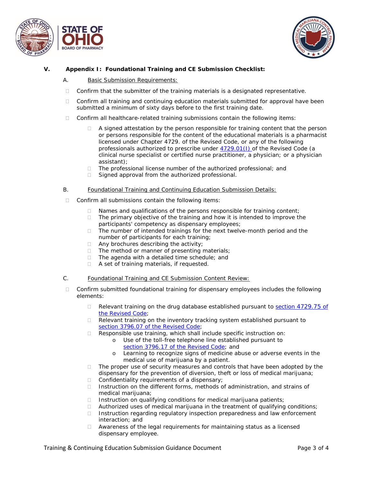



#### <span id="page-4-1"></span><span id="page-4-0"></span>**V. Appendix I: Foundational Training and CE Submission Checklist:**

- A. Basic Submission Requirements:
- $\Box$  Confirm that the submitter of the training materials is a designated representative.
- $\Box$  Confirm all training and continuing education materials submitted for approval have been submitted a minimum of sixty days before to the first training date.
- $\Box$  Confirm all healthcare-related training submissions contain the following items:
	- $\Box$  A signed attestation by the person responsible for training content that the person or persons responsible for the content of the educational materials is a pharmacist licensed under Chapter 4729. of the Revised Code, or any of the following professionals authorized to prescribe under [4729.01\(I\)](http://codes.ohio.gov/orc/4729.01) of the Revised Code (a clinical nurse specialist or certified nurse practitioner, a physician; or a physician assistant);
	- □ The professional license number of the authorized professional; and
	- $\Box$  Signed approval from the authorized professional.
- <span id="page-4-2"></span>B. Foundational Training and Continuing Education Submission Details:
- $\Box$  Confirm all submissions contain the following items:
	- $\Box$  Names and qualifications of the persons responsible for training content;
	- □ The primary objective of the training and how it is intended to improve the participants' competency as dispensary employees;
	- $\Box$  The number of intended trainings for the next twelve-month period and the number of participants for each training;
	- $\Box$  Any brochures describing the activity;
	- $\Box$  The method or manner of presenting materials;
	- □ The agenda with a detailed time schedule; and
	- □ A set of training materials, if requested.
- <span id="page-4-3"></span>C. Foundational Training and CE Submission Content Review:
- $\Box$  Confirm submitted foundational training for dispensary employees includes the following elements:
	- $\Box$  Relevant training on the drug database established pursuant to section [4729.75](http://codes.ohio.gov/orc/4729.75) of [the Revised Code;](http://codes.ohio.gov/orc/4729.75)
	- $\Box$  Relevant training on the inventory tracking system established pursuant to section 3796.07 [of the Revised Code;](http://codes.ohio.gov/orc/3796.07)
	- □ Responsible use training, which shall include specific instruction on:
		- o Use of the toll-free telephone line established pursuant to section 3796.17 [of the Revised Code;](http://codes.ohio.gov/orc/3796.17) and
		- o Learning to recognize signs of medicine abuse or adverse events in the medical use of marijuana by a patient.
	- $\Box$  The proper use of security measures and controls that have been adopted by the dispensary for the prevention of diversion, theft or loss of medical marijuana;
	- $\Box$  Confidentiality requirements of a dispensary;
	- $\Box$  Instruction on the different forms, methods of administration, and strains of medical marijuana;
	- $\Box$  Instruction on qualifying conditions for medical marijuana patients;
	- $\Box$  Authorized uses of medical marijuana in the treatment of qualifying conditions;
	- $\Box$  Instruction regarding regulatory inspection preparedness and law enforcement interaction; and
	- $\Box$  Awareness of the legal requirements for maintaining status as a licensed dispensary employee.